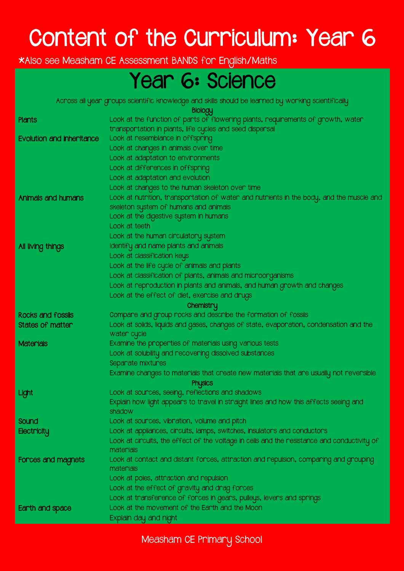## Content of the Curriculum: Year 6

\*Also see Measham CE Assessment BANDS for English/Maths

#### Year 6: Science

Across all year groups scientific knowledge and skills should be learned by working scientifically

Biology

| Plants                    | <b>PROPERTY</b><br>Look at the function of parts of flowering plants, requirements of growth, water      |
|---------------------------|----------------------------------------------------------------------------------------------------------|
|                           | transportation in plants, life cycles and seed dispersal                                                 |
| Evolution and inheritance | Look at resemblance in offspring                                                                         |
|                           | Look at changes in animals over time                                                                     |
|                           | Look at adaptation to environments                                                                       |
|                           | Look at differences in offspring                                                                         |
|                           | Look at adaptation and evolution                                                                         |
|                           | Look at changes to the human skeleton over time                                                          |
| Animals and humans        | Look at nutrition, transportation of water and nutrients in the body, and the muscle and                 |
|                           | skeleton system of humans and animals                                                                    |
|                           | Look at the digestive system in humans                                                                   |
|                           | Look at teeth                                                                                            |
|                           | Look at the human circulatory system                                                                     |
| All living things         | Identify and name plants and animals                                                                     |
|                           | Look at classification keys                                                                              |
|                           | Look at the life cycle of animals and plants                                                             |
|                           | Look at classification of plants, animals and microorganisms                                             |
|                           | Look at reproduction in plants and animals, and human growth and changes                                 |
|                           | Look at the effect of diet, exercise and drugs                                                           |
|                           | Chemistry                                                                                                |
| Rocks and fossils         | Compare and group rocks and describe the formation of fossils                                            |
| States of matter          | Look at solids, liquids and gases, changes of state, evaporation, condensation and the                   |
|                           | water cycle                                                                                              |
| <b>Materials</b>          | Examine the properties of materials using various tests                                                  |
|                           | Look at solubility and recovering dissolved substances                                                   |
|                           | Separate mixtures                                                                                        |
|                           | Examine changes to materials that create new materials that are usually not reversible                   |
|                           | <b>Physics</b>                                                                                           |
| Light                     | Look at sources, seeing, reflections and shadows                                                         |
|                           | Explain how light appears to travel in straight lines and how this affects seeing and                    |
|                           | shadow                                                                                                   |
| Sound                     | Look at sources, vibration, volume and pitch                                                             |
| Electricity               | Look at appliances, circuits, lamps, switches, insulators and conductors                                 |
|                           | Look at circuits, the effect of the voltage in cells and the resistance and conductivity of<br>materials |
|                           | Look at contact and distant forces, attraction and repulsion, comparing and grouping                     |
| <b>Forces and magnets</b> | materials                                                                                                |
|                           | Look at poles, attraction and repulsion                                                                  |
|                           | Look at the effect of gravity and drag forces                                                            |
|                           | Look at transference of forces in gears, pulleys, levers and springs                                     |
| Earth and space           | Look at the movement of the Earth and the Moon                                                           |
|                           | Explain day and night                                                                                    |
|                           |                                                                                                          |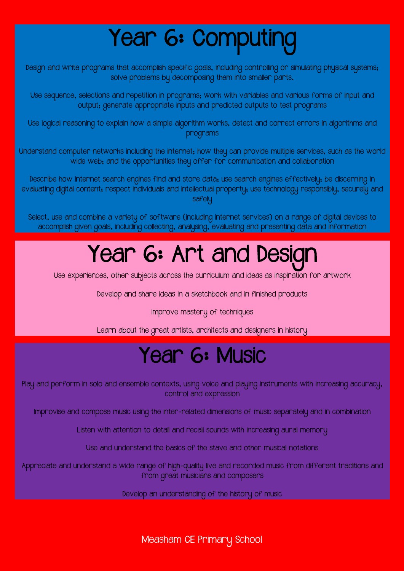# Year 6: Computing

Design and write programs that accomplish specific goals, including controlling or simulating physical systems; solve problems by decomposing them into smaller parts.

Use sequence, selections and repetition in programs; work with variables and various forms of input and output; generate appropriate inputs and predicted outputs to test programs

Use logical reasoning to explain how a simple algorithm works, detect and correct errors in algorithms and programs

Understand computer networks including the internet; how they can provide multiple services, such as the world wide web; and the opportunities they offer for communication and collaboration

Describe how internet search engines find and store data; use search engines effectively; be discerning in evaluating digital content; respect individuals and intellectual property; use technology responsibly, securely and safelu

Select, use and combine a variety of software (including internet services) on a range of digital devices to accomplish given goals, including collecting, analysing, evaluating and presenting data and information

## Year 6: Art and Design

Use experiences, other subjects across the curriculum and ideas as inspiration for artwork

Develop and share ideas in a sketchbook and in finished products

Improve mastery of techniques

Learn about the great artists, architects and designers in history

#### Year 6: Music

Play and perform in solo and ensemble contexts, using voice and playing instruments with increasing accuracy, control and expression

Improvise and compose music using the inter-related dimensions of music separately and in combination

Listen with attention to detail and recall sounds with increasing aural memory

Use and understand the basics of the stave and other musical notations

Appreciate and understand a wide range of high-quality live and recorded music from different traditions and from great musicians and composers

Develop an understanding of the history of music

Measham CE Primary School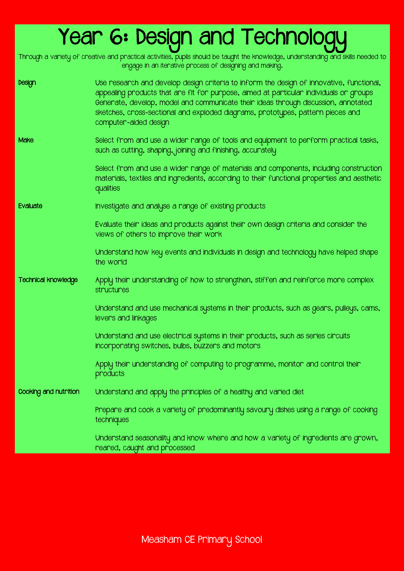### Year 6: Design and Technology

Through a variety of creative and practical activities, pupils should be taught the knowledge, understanding and skills needed to engage in an iterative process of designing and making.

| Design                     | Use research and develop design criteria to inform the design of innovative, functional,<br>appealing products that are fit for purpose, aimed at particular individuals or groups<br>Generate, develop, model and communicate their ideas through discussion, annotated<br>sketches, cross-sectional and exploded diagrams, prototypes, pattern pieces and<br>computer-aided design |
|----------------------------|--------------------------------------------------------------------------------------------------------------------------------------------------------------------------------------------------------------------------------------------------------------------------------------------------------------------------------------------------------------------------------------|
| Make                       | Select from and use a wider range of tools and equipment to perform practical tasks,<br>such as cutting, shaping, joining and finishing, accurately                                                                                                                                                                                                                                  |
|                            | Select from and use a wider range of materials and components, including construction<br>materials, textiles and ingredients, according to their functional properties and aesthetic<br>qualities                                                                                                                                                                                    |
| Evaluate                   | Investigate and analyse a range of existing products                                                                                                                                                                                                                                                                                                                                 |
|                            | Evaluate their ideas and products against their own design criteria and consider the<br>views of others to improve their work                                                                                                                                                                                                                                                        |
|                            | Understand how key events and individuals in design and technology have helped shape<br>the world                                                                                                                                                                                                                                                                                    |
| <b>Technical knowledge</b> | Apply their understanding of how to strengthen, stiffen and reinforce more complex<br>structures                                                                                                                                                                                                                                                                                     |
|                            | Understand and use mechanical systems in their products, such as gears, pulleys, cams,<br>levers and linkages                                                                                                                                                                                                                                                                        |
|                            | Understand and use electrical systems in their products, such as series circuits<br>incorporating switches, bulbs, buzzers and motors                                                                                                                                                                                                                                                |
|                            | Apply their understanding of computing to programme, monitor and control their<br>products                                                                                                                                                                                                                                                                                           |
| Cooking and nutrition      | Understand and apply the principles of a healthy and varied diet                                                                                                                                                                                                                                                                                                                     |
|                            | Prepare and cook a variety of predominantly savoury dishes using a range of cooking<br>techniques                                                                                                                                                                                                                                                                                    |
|                            | Understand seasonality and know where and how a variety of ingredients are grown,<br>reared, caught and processed                                                                                                                                                                                                                                                                    |